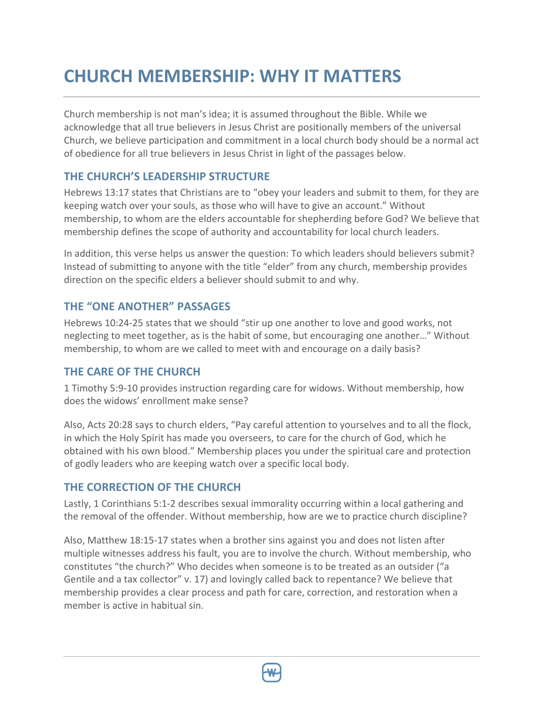# **CHURCH MEMBERSHIP: WHY IT MATTERS**

Church membership is not man's idea; it is assumed throughout the Bible. While we acknowledge that all true believers in Jesus Christ are positionally members of the universal Church, we believe participation and commitment in a local church body should be a normal act of obedience for all true believers in Jesus Christ in light of the passages below.

### **THE CHURCH'S LEADERSHIP STRUCTURE**

Hebrews 13:17 states that Christians are to "obey your leaders and submit to them, for they are keeping watch over your souls, as those who will have to give an account." Without membership, to whom are the elders accountable for shepherding before God? We believe that membership defines the scope of authority and accountability for local church leaders.

In addition, this verse helps us answer the question: To which leaders should believers submit? Instead of submitting to anyone with the title "elder" from any church, membership provides direction on the specific elders a believer should submit to and why.

#### **THE "ONE ANOTHER" PASSAGES**

Hebrews 10:24-25 states that we should "stir up one another to love and good works, not neglecting to meet together, as is the habit of some, but encouraging one another…" Without membership, to whom are we called to meet with and encourage on a daily basis?

### **THE CARE OF THE CHURCH**

1 Timothy 5:9-10 provides instruction regarding care for widows. Without membership, how does the widows' enrollment make sense?

Also, Acts 20:28 says to church elders, "Pay careful attention to yourselves and to all the flock, in which the Holy Spirit has made you overseers, to care for the church of God, which he obtained with his own blood." Membership places you under the spiritual care and protection of godly leaders who are keeping watch over a specific local body.

### **THE CORRECTION OF THE CHURCH**

Lastly, 1 Corinthians 5:1-2 describes sexual immorality occurring within a local gathering and the removal of the offender. Without membership, how are we to practice church discipline?

Also, Matthew 18:15-17 states when a brother sins against you and does not listen after multiple witnesses address his fault, you are to involve the church. Without membership, who constitutes "the church?" Who decides when someone is to be treated as an outsider ("a Gentile and a tax collector" v. 17) and lovingly called back to repentance? We believe that membership provides a clear process and path for care, correction, and restoration when a member is active in habitual sin.